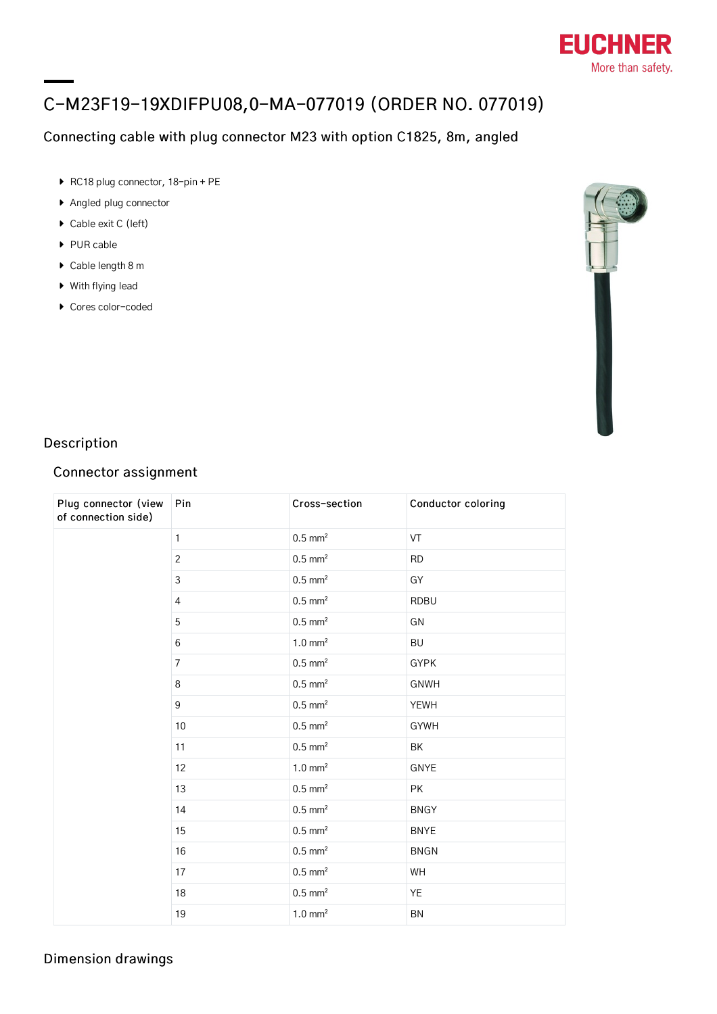

# C-M23F19-19XDIFPU08,0-MA-077019 (ORDER NO. 077019)

## Connecting cable with plug connector M23 with option C1825, 8m, angled

- ▶ RC18 plug connector, 18-pin + PE
- Angled plug connector
- ▶ Cable exit C (left)
- ▶ PUR cable
- ▶ Cable length 8 m
- With flying lead
- ▶ Cores color-coded



## Description

## Connector assignment

| Plug connector (view<br>of connection side) | Pin            | Cross-section         | Conductor coloring |
|---------------------------------------------|----------------|-----------------------|--------------------|
|                                             | $\mathbf{1}$   | $0.5$ mm <sup>2</sup> | VT                 |
|                                             | $\overline{2}$ | $0.5$ mm <sup>2</sup> | <b>RD</b>          |
|                                             | $\mathfrak{Z}$ | $0.5$ mm <sup>2</sup> | GY                 |
|                                             | $\overline{4}$ | $0.5$ mm <sup>2</sup> | <b>RDBU</b>        |
|                                             | 5              | $0.5$ mm <sup>2</sup> | GN                 |
|                                             | 6              | $1.0 \text{ mm}^2$    | <b>BU</b>          |
|                                             | $\overline{7}$ | $0.5$ mm <sup>2</sup> | <b>GYPK</b>        |
|                                             | 8              | $0.5$ mm <sup>2</sup> | <b>GNWH</b>        |
|                                             | 9              | $0.5$ mm <sup>2</sup> | <b>YEWH</b>        |
|                                             | 10             | $0.5$ mm <sup>2</sup> | <b>GYWH</b>        |
|                                             | 11             | $0.5$ mm <sup>2</sup> | <b>BK</b>          |
|                                             | 12             | $1.0 \text{ mm}^2$    | GNYE               |
|                                             | 13             | $0.5$ mm <sup>2</sup> | PK                 |
|                                             | 14             | $0.5$ mm <sup>2</sup> | <b>BNGY</b>        |
|                                             | 15             | $0.5$ mm <sup>2</sup> | <b>BNYE</b>        |
|                                             | 16             | $0.5$ mm <sup>2</sup> | <b>BNGN</b>        |
|                                             | 17             | $0.5$ mm <sup>2</sup> | WH                 |
|                                             | 18             | $0.5$ mm <sup>2</sup> | YE                 |
|                                             | 19             | $1.0 \text{ mm}^2$    | BN                 |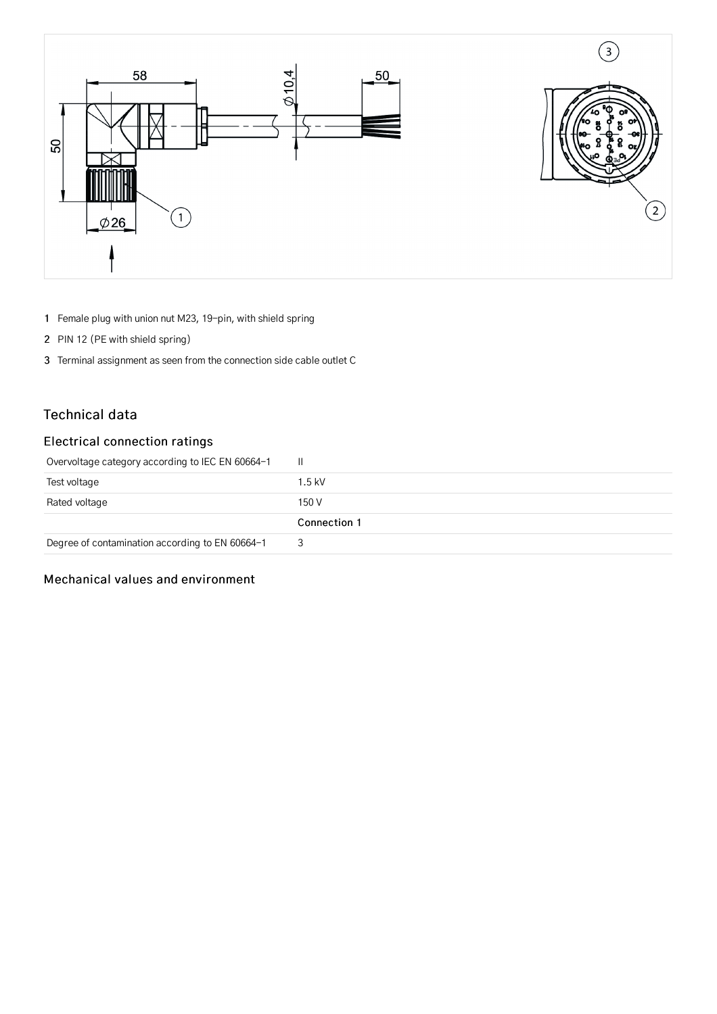

- 1 Female plug with union nut M23, 19-pin, with shield spring
- 2 PIN 12 (PE with shield spring)
- 3 Terminal assignment as seen from the connection side cable outlet C

#### Technical data

### Electrical connection ratings

| Overvoltage category according to IEC EN 60664-1 | -II.         |
|--------------------------------------------------|--------------|
| Test voltage                                     | $1.5$ kV     |
| Rated voltage                                    | 150 V        |
|                                                  | Connection 1 |
| Degree of contamination according to EN 60664-1  | 3            |

#### Mechanical values and environment